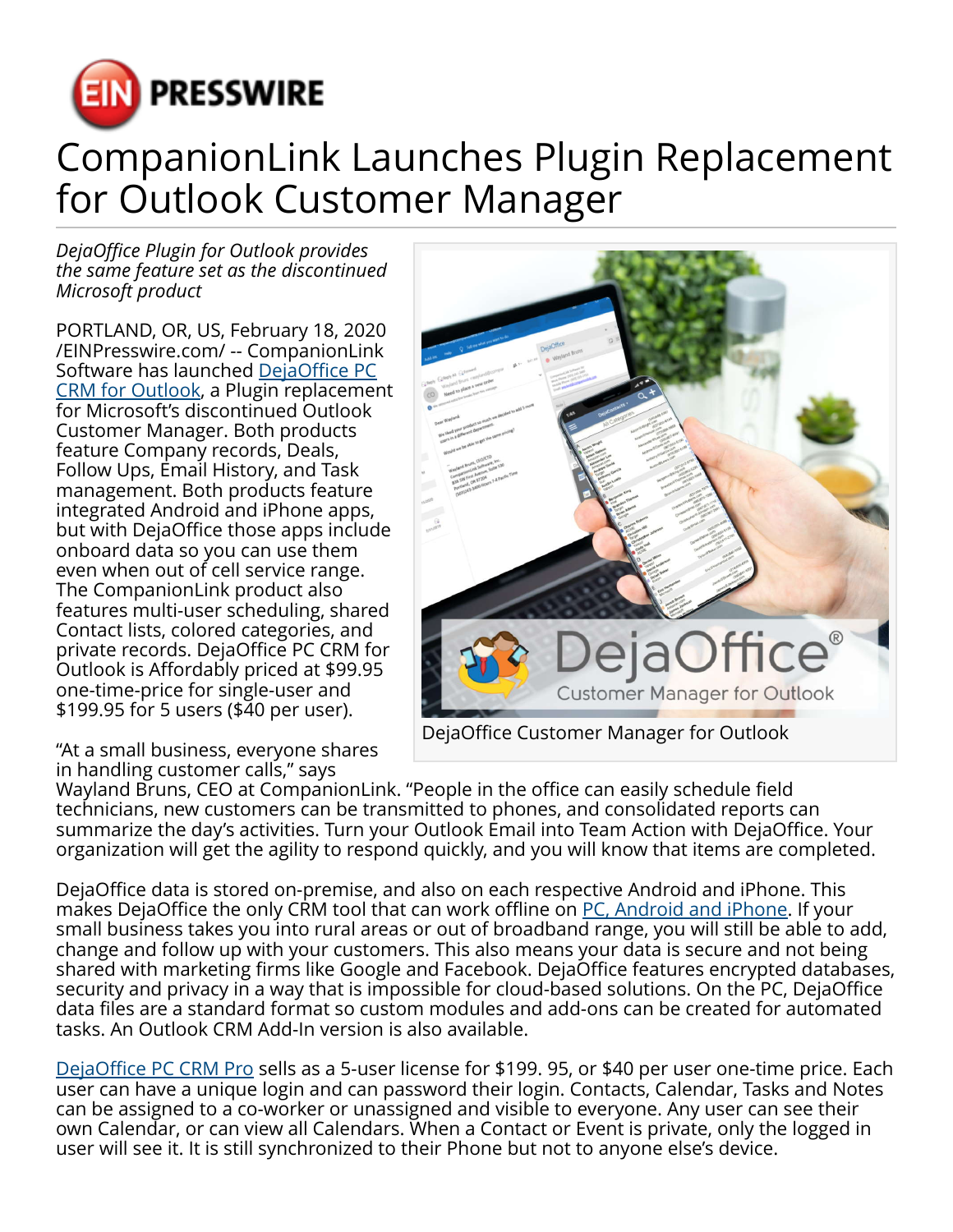

## CompanionLink Launches Plugin Replacement for Outlook Customer Manager

*DejaOffice Plugin for Outlook provides the same feature set as the discontinued Microsoft product*

PORTLAND, OR, US, February 18, 2020 [/EINPresswire.com/](http://www.einpresswire.com) -- CompanionLink Software has launched [DejaOffice PC](https://www.companionlink.com/replace/outlook-customer-manager/) [CRM for Outlook,](https://www.companionlink.com/replace/outlook-customer-manager/) a Plugin replacement for Microsoft's discontinued Outlook Customer Manager. Both products feature Company records, Deals, Follow Ups, Email History, and Task management. Both products feature integrated Android and iPhone apps, but with DejaOffice those apps include onboard data so you can use them even when out of cell service range. The CompanionLink product also features multi-user scheduling, shared Contact lists, colored categories, and private records. DejaOffice PC CRM for Outlook is Affordably priced at \$99.95 one-time-price for single-user and \$199.95 for 5 users (\$40 per user).

"At a small business, everyone shares in handling customer calls," says



Wayland Bruns, CEO at CompanionLink. "People in the office can easily schedule field technicians, new customers can be transmitted to phones, and consolidated reports can summarize the day's activities. Turn your Outlook Email into Team Action with DejaOffice. Your organization will get the agility to respond quickly, and you will know that items are completed.

DejaOffice data is stored on-premise, and also on each respective Android and iPhone. This makes DejaOffice the only CRM tool that can work offline on [PC, Android and iPhone](https://www.dejaoffice.com/). If your small business takes you into rural areas or out of broadband range, you will still be able to add, change and follow up with your customers. This also means your data is secure and not being shared with marketing firms like Google and Facebook. DejaOffice features encrypted databases, security and privacy in a way that is impossible for cloud-based solutions. On the PC, DejaOffice data files are a standard format so custom modules and add-ons can be created for automated tasks. An Outlook CRM Add-In version is also available.

[DejaOffice PC CRM Pro](https://www.companionlink.com/pc-crm/pro/) sells as a 5-user license for \$199. 95, or \$40 per user one-time price. Each user can have a unique login and can password their login. Contacts, Calendar, Tasks and Notes can be assigned to a co-worker or unassigned and visible to everyone. Any user can see their own Calendar, or can view all Calendars. When a Contact or Event is private, only the logged in user will see it. It is still synchronized to their Phone but not to anyone else's device.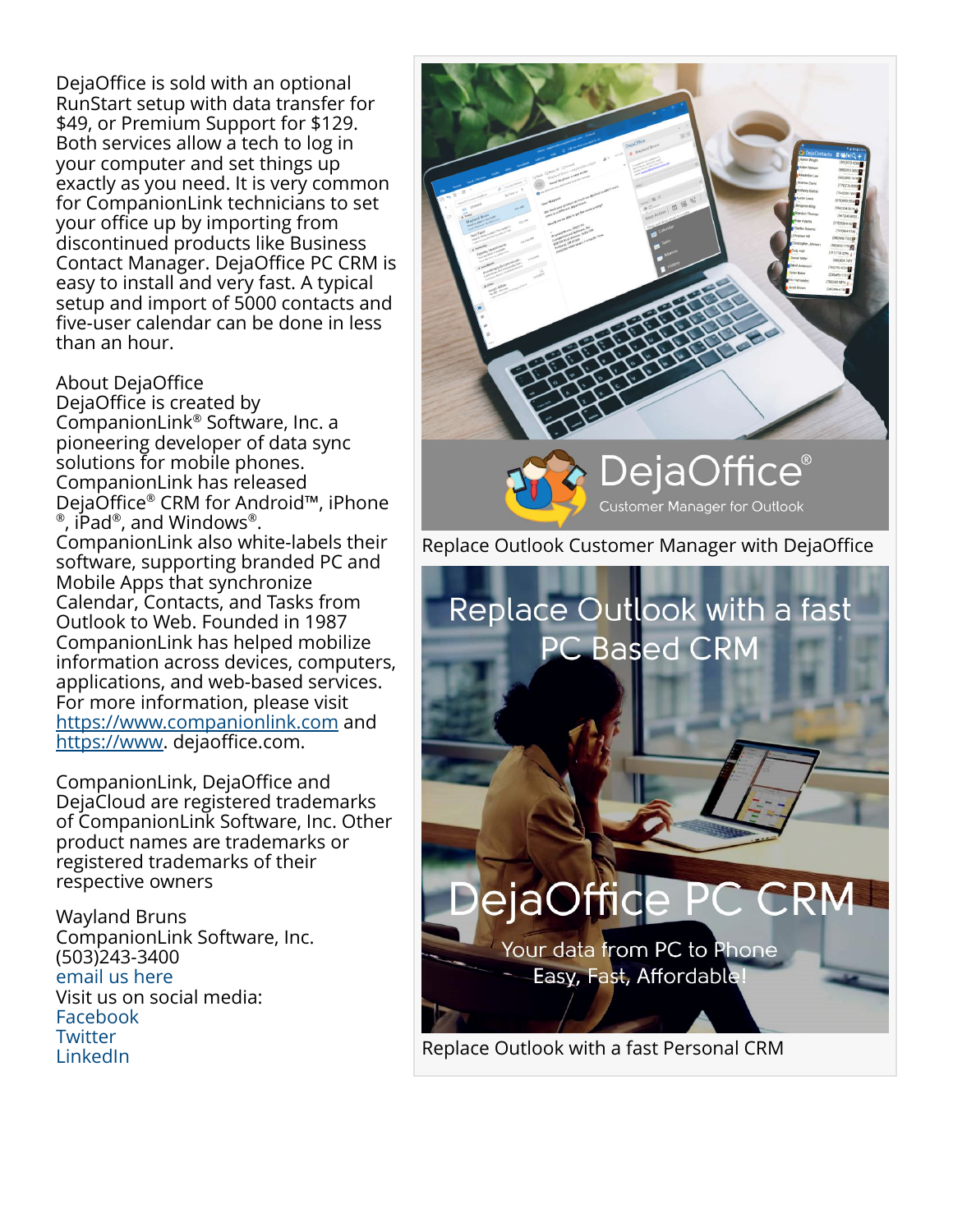DejaOffice is sold with an optional RunStart setup with data transfer for \$49, or Premium Support for \$129. Both services allow a tech to log in your computer and set things up exactly as you need. It is very common for CompanionLink technicians to set your office up by importing from discontinued products like Business Contact Manager. DejaOffice PC CRM is easy to install and very fast. A typical setup and import of 5000 contacts and five-user calendar can be done in less than an hour.

## About DejaOffice

DejaOffice is created by CompanionLink® Software, Inc. a pioneering developer of data sync solutions for mobile phones. CompanionLink has released DejaOffice® CRM for Android™, iPhone  $^\circ$ , iPad $^\circ$ , and Windows $^\circ$ . CompanionLink also white-labels their software, supporting branded PC and Mobile Apps that synchronize Calendar, Contacts, and Tasks from Outlook to Web. Founded in 1987 CompanionLink has helped mobilize information across devices, computers, applications, and web-based services. For more information, please visit <https://www.companionlink.com>and [https://www.](https://www) dejaoffice.com.

CompanionLink, DejaOffice and DejaCloud are registered trademarks of CompanionLink Software, Inc. Other product names are trademarks or registered trademarks of their respective owners

Wayland Bruns CompanionLink Software, Inc. (503)243-3400 [email us here](http://www.einpresswire.com/contact_author/2787385) Visit us on social media: [Facebook](https://www.facebook.com/CompanionLink) **[Twitter](https://www.twitter.com/companionlink)** [LinkedIn](https://www.linkedin.com/company/companionlink-software-inc/)